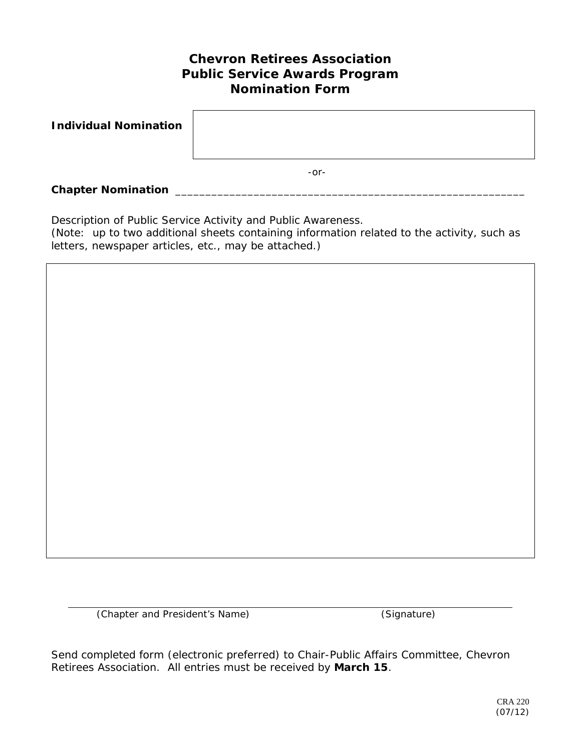## **Chevron Retirees Association Public Service Awards Program Nomination Form**

| <b>Individual Nomination</b> |        |
|------------------------------|--------|
|                              | $-0r-$ |
| <b>Chapter Nomination</b>    |        |

Description of Public Service Activity and Public Awareness.

(Note: up to two additional sheets containing information related to the activity, such as letters, newspaper articles, etc., may be attached.)

(Chapter and President's Name) (Signature)

Send completed form (electronic preferred) to Chair-Public Affairs Committee, Chevron Retirees Association. All entries must be received by **March 15**.